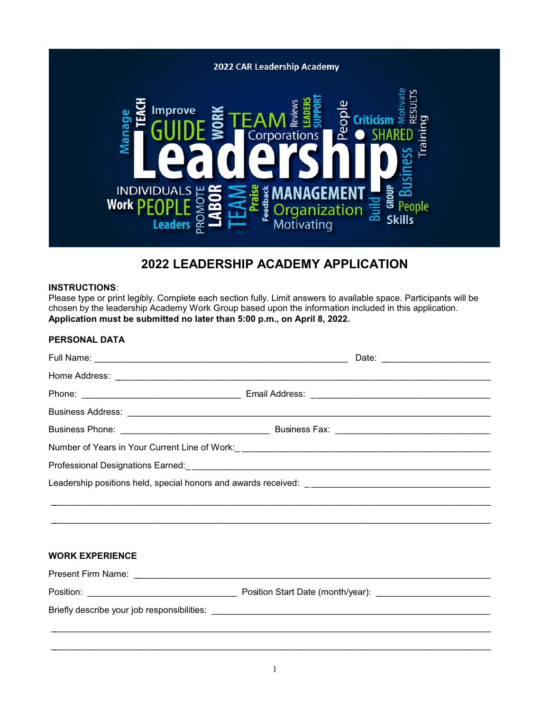

# **2022 LEADERSHIP ACADEMY APPLICATION**

#### **INSTRUCTIONS**:

Please type or print legibly. Complete each section fully. Limit answers to available space. Participants will be chosen by the leadership Academy Work Group based upon the information included in this application. **Application must be submitted no later than 5:00 p.m., on April 8, 2022.**

| <b>PERSONAL DATA</b>   |                                                                                   |
|------------------------|-----------------------------------------------------------------------------------|
|                        |                                                                                   |
|                        |                                                                                   |
|                        |                                                                                   |
|                        |                                                                                   |
|                        |                                                                                   |
|                        |                                                                                   |
|                        |                                                                                   |
|                        |                                                                                   |
|                        |                                                                                   |
|                        |                                                                                   |
|                        |                                                                                   |
| <b>WORK EXPERIENCE</b> |                                                                                   |
|                        |                                                                                   |
|                        |                                                                                   |
|                        |                                                                                   |
|                        | ,我们也不能在这里的人,我们也不能在这里的人,我们也不能在这里的人,我们也不能在这里的人,我们也不能在这里的人,我们也不能在这里的人,我们也不能在这里的人,我们也 |
|                        |                                                                                   |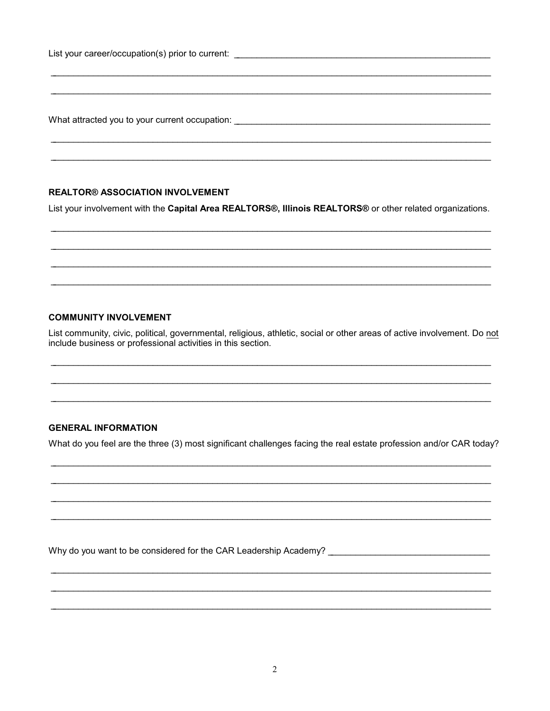List your career/occupation(s) prior to current:

What attracted you to your current occupation: What attracted you to your current occupation:

### **REALTOR® ASSOCIATION INVOLVEMENT**

List your involvement with the Capital Area REALTORS®, Illinois REALTORS® or other related organizations.

## **COMMUNITY INVOLVEMENT**

List community, civic, political, governmental, religious, athletic, social or other areas of active involvement. Do not include business or professional activities in this section.

## **GENERAL INFORMATION**

What do you feel are the three (3) most significant challenges facing the real estate profession and/or CAR today?

Why do you want to be considered for the CAR Leadership Academy?